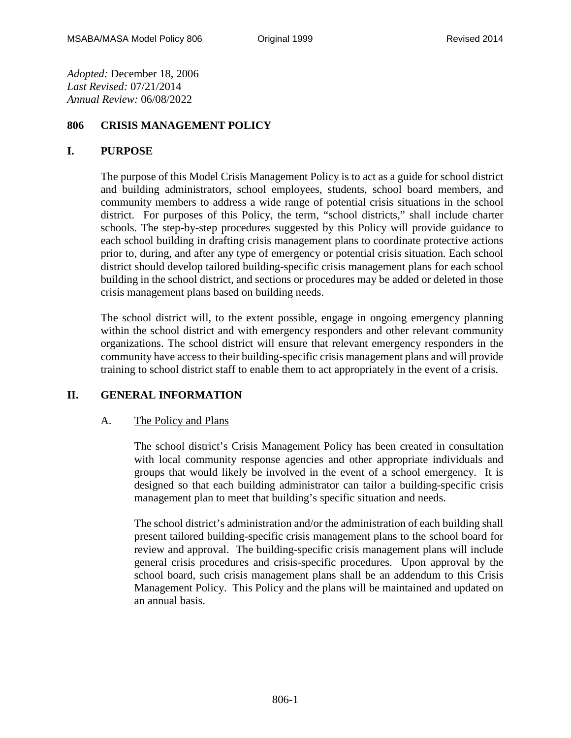*Adopted:* December 18, 2006 *Last Revised:* 07/21/2014 *Annual Review:* 06/08/2022

# **806 CRISIS MANAGEMENT POLICY**

#### **I. PURPOSE**

The purpose of this Model Crisis Management Policy is to act as a guide for school district and building administrators, school employees, students, school board members, and community members to address a wide range of potential crisis situations in the school district. For purposes of this Policy, the term, "school districts," shall include charter schools. The step-by-step procedures suggested by this Policy will provide guidance to each school building in drafting crisis management plans to coordinate protective actions prior to, during, and after any type of emergency or potential crisis situation. Each school district should develop tailored building-specific crisis management plans for each school building in the school district, and sections or procedures may be added or deleted in those crisis management plans based on building needs.

The school district will, to the extent possible, engage in ongoing emergency planning within the school district and with emergency responders and other relevant community organizations. The school district will ensure that relevant emergency responders in the community have access to their building-specific crisis management plans and will provide training to school district staff to enable them to act appropriately in the event of a crisis.

## **II. GENERAL INFORMATION**

## A. The Policy and Plans

The school district's Crisis Management Policy has been created in consultation with local community response agencies and other appropriate individuals and groups that would likely be involved in the event of a school emergency. It is designed so that each building administrator can tailor a building-specific crisis management plan to meet that building's specific situation and needs.

The school district's administration and/or the administration of each building shall present tailored building-specific crisis management plans to the school board for review and approval. The building-specific crisis management plans will include general crisis procedures and crisis-specific procedures. Upon approval by the school board, such crisis management plans shall be an addendum to this Crisis Management Policy. This Policy and the plans will be maintained and updated on an annual basis.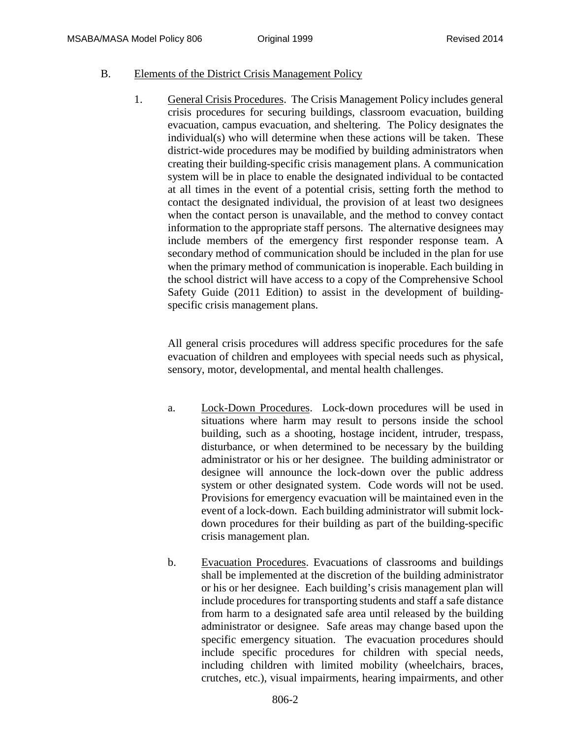## B. Elements of the District Crisis Management Policy

1. General Crisis Procedures. The Crisis Management Policy includes general crisis procedures for securing buildings, classroom evacuation, building evacuation, campus evacuation, and sheltering. The Policy designates the individual(s) who will determine when these actions will be taken. These district-wide procedures may be modified by building administrators when creating their building-specific crisis management plans. A communication system will be in place to enable the designated individual to be contacted at all times in the event of a potential crisis, setting forth the method to contact the designated individual, the provision of at least two designees when the contact person is unavailable, and the method to convey contact information to the appropriate staff persons. The alternative designees may include members of the emergency first responder response team. A secondary method of communication should be included in the plan for use when the primary method of communication is inoperable. Each building in the school district will have access to a copy of the Comprehensive School Safety Guide (2011 Edition) to assist in the development of buildingspecific crisis management plans.

All general crisis procedures will address specific procedures for the safe evacuation of children and employees with special needs such as physical, sensory, motor, developmental, and mental health challenges.

- a. Lock-Down Procedures. Lock-down procedures will be used in situations where harm may result to persons inside the school building, such as a shooting, hostage incident, intruder, trespass, disturbance, or when determined to be necessary by the building administrator or his or her designee. The building administrator or designee will announce the lock-down over the public address system or other designated system. Code words will not be used. Provisions for emergency evacuation will be maintained even in the event of a lock-down. Each building administrator will submit lockdown procedures for their building as part of the building-specific crisis management plan.
- b. Evacuation Procedures. Evacuations of classrooms and buildings shall be implemented at the discretion of the building administrator or his or her designee. Each building's crisis management plan will include procedures for transporting students and staff a safe distance from harm to a designated safe area until released by the building administrator or designee. Safe areas may change based upon the specific emergency situation. The evacuation procedures should include specific procedures for children with special needs, including children with limited mobility (wheelchairs, braces, crutches, etc.), visual impairments, hearing impairments, and other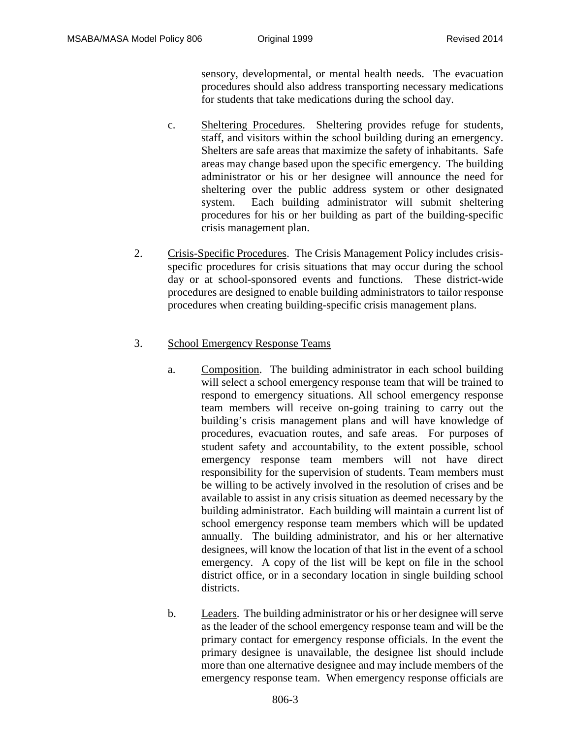sensory, developmental, or mental health needs. The evacuation procedures should also address transporting necessary medications for students that take medications during the school day.

- c. Sheltering Procedures. Sheltering provides refuge for students, staff, and visitors within the school building during an emergency. Shelters are safe areas that maximize the safety of inhabitants. Safe areas may change based upon the specific emergency. The building administrator or his or her designee will announce the need for sheltering over the public address system or other designated system. Each building administrator will submit sheltering procedures for his or her building as part of the building-specific crisis management plan.
- 2. Crisis-Specific Procedures. The Crisis Management Policy includes crisisspecific procedures for crisis situations that may occur during the school day or at school-sponsored events and functions. These district-wide procedures are designed to enable building administrators to tailor response procedures when creating building-specific crisis management plans.

# 3. School Emergency Response Teams

- a. Composition. The building administrator in each school building will select a school emergency response team that will be trained to respond to emergency situations. All school emergency response team members will receive on-going training to carry out the building's crisis management plans and will have knowledge of procedures, evacuation routes, and safe areas. For purposes of student safety and accountability, to the extent possible, school emergency response team members will not have direct responsibility for the supervision of students. Team members must be willing to be actively involved in the resolution of crises and be available to assist in any crisis situation as deemed necessary by the building administrator. Each building will maintain a current list of school emergency response team members which will be updated annually. The building administrator, and his or her alternative designees, will know the location of that list in the event of a school emergency. A copy of the list will be kept on file in the school district office, or in a secondary location in single building school districts.
- b. Leaders. The building administrator or his or her designee will serve as the leader of the school emergency response team and will be the primary contact for emergency response officials. In the event the primary designee is unavailable, the designee list should include more than one alternative designee and may include members of the emergency response team. When emergency response officials are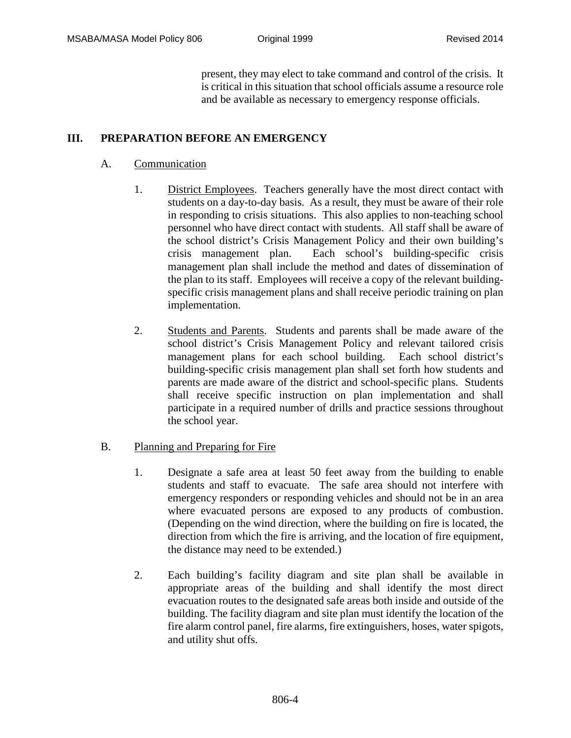present, they may elect to take command and control of the crisis. It is critical in this situation that school officials assume a resource role and be available as necessary to emergency response officials.

# **III. PREPARATION BEFORE AN EMERGENCY**

## A. Communication

- 1. District Employees. Teachers generally have the most direct contact with students on a day-to-day basis. As a result, they must be aware of their role in responding to crisis situations. This also applies to non-teaching school personnel who have direct contact with students. All staff shall be aware of the school district's Crisis Management Policy and their own building's crisis management plan. Each school's building-specific crisis management plan shall include the method and dates of dissemination of the plan to its staff. Employees will receive a copy of the relevant buildingspecific crisis management plans and shall receive periodic training on plan implementation.
- 2. Students and Parents. Students and parents shall be made aware of the school district's Crisis Management Policy and relevant tailored crisis management plans for each school building. Each school district's building-specific crisis management plan shall set forth how students and parents are made aware of the district and school-specific plans. Students shall receive specific instruction on plan implementation and shall participate in a required number of drills and practice sessions throughout the school year.

## B. Planning and Preparing for Fire

- 1. Designate a safe area at least 50 feet away from the building to enable students and staff to evacuate. The safe area should not interfere with emergency responders or responding vehicles and should not be in an area where evacuated persons are exposed to any products of combustion. (Depending on the wind direction, where the building on fire is located, the direction from which the fire is arriving, and the location of fire equipment, the distance may need to be extended.)
- 2. Each building's facility diagram and site plan shall be available in appropriate areas of the building and shall identify the most direct evacuation routes to the designated safe areas both inside and outside of the building. The facility diagram and site plan must identify the location of the fire alarm control panel, fire alarms, fire extinguishers, hoses, water spigots, and utility shut offs.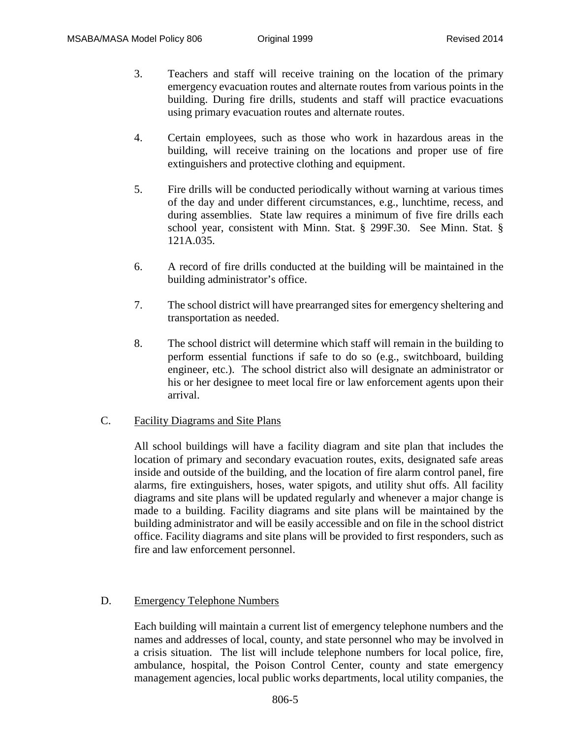- 3. Teachers and staff will receive training on the location of the primary emergency evacuation routes and alternate routes from various points in the building. During fire drills, students and staff will practice evacuations using primary evacuation routes and alternate routes.
- 4. Certain employees, such as those who work in hazardous areas in the building, will receive training on the locations and proper use of fire extinguishers and protective clothing and equipment.
- 5. Fire drills will be conducted periodically without warning at various times of the day and under different circumstances, e.g., lunchtime, recess, and during assemblies. State law requires a minimum of five fire drills each school year, consistent with Minn. Stat. § 299F.30. See Minn. Stat. § 121A.035.
- 6. A record of fire drills conducted at the building will be maintained in the building administrator's office.
- 7. The school district will have prearranged sites for emergency sheltering and transportation as needed.
- 8. The school district will determine which staff will remain in the building to perform essential functions if safe to do so (e.g., switchboard, building engineer, etc.). The school district also will designate an administrator or his or her designee to meet local fire or law enforcement agents upon their arrival.
- C. Facility Diagrams and Site Plans

All school buildings will have a facility diagram and site plan that includes the location of primary and secondary evacuation routes, exits, designated safe areas inside and outside of the building, and the location of fire alarm control panel, fire alarms, fire extinguishers, hoses, water spigots, and utility shut offs. All facility diagrams and site plans will be updated regularly and whenever a major change is made to a building. Facility diagrams and site plans will be maintained by the building administrator and will be easily accessible and on file in the school district office. Facility diagrams and site plans will be provided to first responders, such as fire and law enforcement personnel.

## D. Emergency Telephone Numbers

Each building will maintain a current list of emergency telephone numbers and the names and addresses of local, county, and state personnel who may be involved in a crisis situation. The list will include telephone numbers for local police, fire, ambulance, hospital, the Poison Control Center, county and state emergency management agencies, local public works departments, local utility companies, the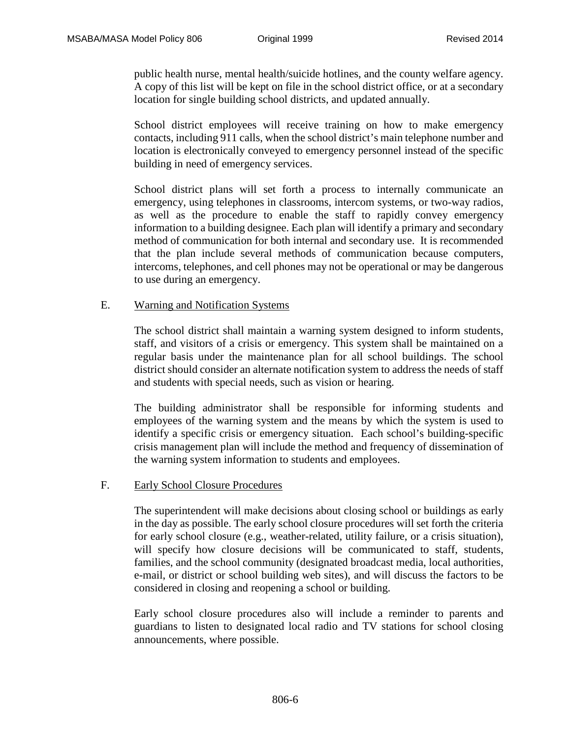public health nurse, mental health/suicide hotlines, and the county welfare agency. A copy of this list will be kept on file in the school district office, or at a secondary location for single building school districts, and updated annually.

School district employees will receive training on how to make emergency contacts, including 911 calls, when the school district's main telephone number and location is electronically conveyed to emergency personnel instead of the specific building in need of emergency services.

School district plans will set forth a process to internally communicate an emergency, using telephones in classrooms, intercom systems, or two-way radios, as well as the procedure to enable the staff to rapidly convey emergency information to a building designee. Each plan will identify a primary and secondary method of communication for both internal and secondary use. It is recommended that the plan include several methods of communication because computers, intercoms, telephones, and cell phones may not be operational or may be dangerous to use during an emergency.

## E. Warning and Notification Systems

The school district shall maintain a warning system designed to inform students, staff, and visitors of a crisis or emergency. This system shall be maintained on a regular basis under the maintenance plan for all school buildings. The school district should consider an alternate notification system to address the needs of staff and students with special needs, such as vision or hearing.

The building administrator shall be responsible for informing students and employees of the warning system and the means by which the system is used to identify a specific crisis or emergency situation. Each school's building-specific crisis management plan will include the method and frequency of dissemination of the warning system information to students and employees.

## F. Early School Closure Procedures

The superintendent will make decisions about closing school or buildings as early in the day as possible. The early school closure procedures will set forth the criteria for early school closure (e.g., weather-related, utility failure, or a crisis situation), will specify how closure decisions will be communicated to staff, students, families, and the school community (designated broadcast media, local authorities, e-mail, or district or school building web sites), and will discuss the factors to be considered in closing and reopening a school or building.

Early school closure procedures also will include a reminder to parents and guardians to listen to designated local radio and TV stations for school closing announcements, where possible.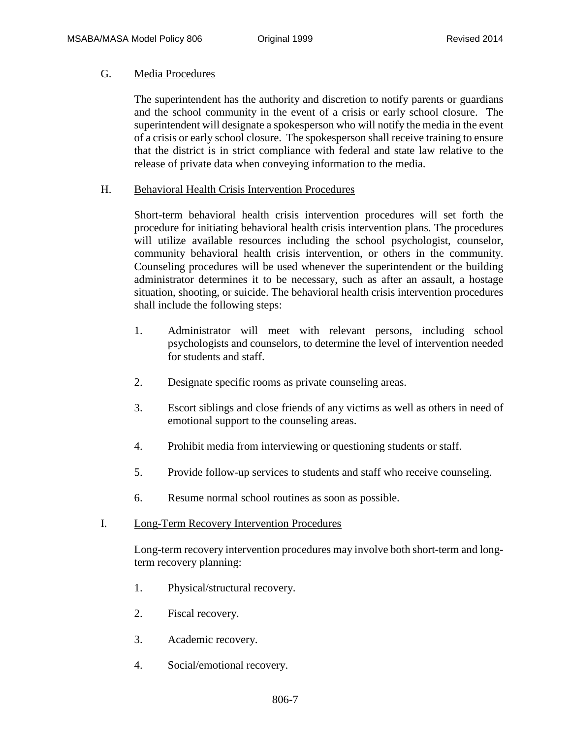## G. Media Procedures

The superintendent has the authority and discretion to notify parents or guardians and the school community in the event of a crisis or early school closure. The superintendent will designate a spokesperson who will notify the media in the event of a crisis or early school closure. The spokesperson shall receive training to ensure that the district is in strict compliance with federal and state law relative to the release of private data when conveying information to the media.

## H. Behavioral Health Crisis Intervention Procedures

Short-term behavioral health crisis intervention procedures will set forth the procedure for initiating behavioral health crisis intervention plans. The procedures will utilize available resources including the school psychologist, counselor, community behavioral health crisis intervention, or others in the community. Counseling procedures will be used whenever the superintendent or the building administrator determines it to be necessary, such as after an assault, a hostage situation, shooting, or suicide. The behavioral health crisis intervention procedures shall include the following steps:

- 1. Administrator will meet with relevant persons, including school psychologists and counselors, to determine the level of intervention needed for students and staff.
- 2. Designate specific rooms as private counseling areas.
- 3. Escort siblings and close friends of any victims as well as others in need of emotional support to the counseling areas.
- 4. Prohibit media from interviewing or questioning students or staff.
- 5. Provide follow-up services to students and staff who receive counseling.
- 6. Resume normal school routines as soon as possible.

## I. Long-Term Recovery Intervention Procedures

Long-term recovery intervention procedures may involve both short-term and longterm recovery planning:

- 1. Physical/structural recovery.
- 2. Fiscal recovery.
- 3. Academic recovery.
- 4. Social/emotional recovery.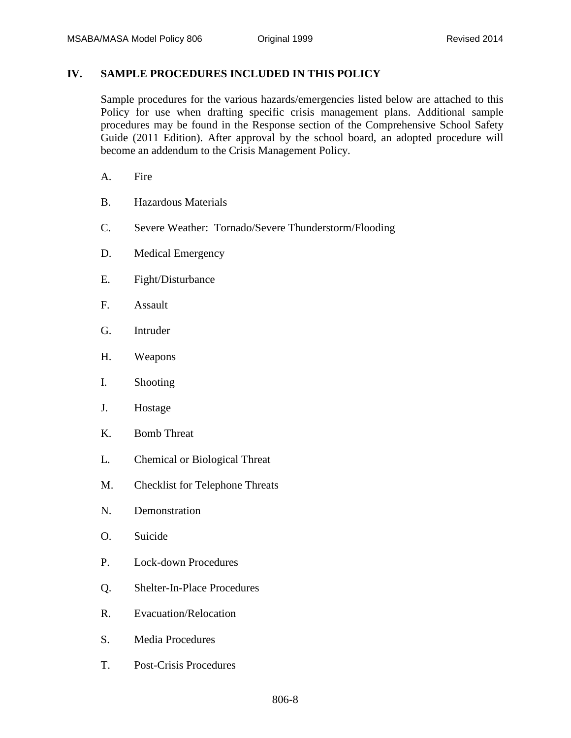# **IV. SAMPLE PROCEDURES INCLUDED IN THIS POLICY**

Sample procedures for the various hazards/emergencies listed below are attached to this Policy for use when drafting specific crisis management plans. Additional sample procedures may be found in the Response section of the Comprehensive School Safety Guide (2011 Edition). After approval by the school board, an adopted procedure will become an addendum to the Crisis Management Policy.

- A. Fire
- B. Hazardous Materials
- C. Severe Weather: Tornado/Severe Thunderstorm/Flooding
- D. Medical Emergency
- E. Fight/Disturbance
- F. Assault
- G. Intruder
- H. Weapons
- I. Shooting
- J. Hostage
- K. Bomb Threat
- L. Chemical or Biological Threat
- M. Checklist for Telephone Threats
- N. Demonstration
- O. Suicide
- P. Lock-down Procedures
- Q. Shelter-In-Place Procedures
- R. Evacuation/Relocation
- S. Media Procedures
- T. Post-Crisis Procedures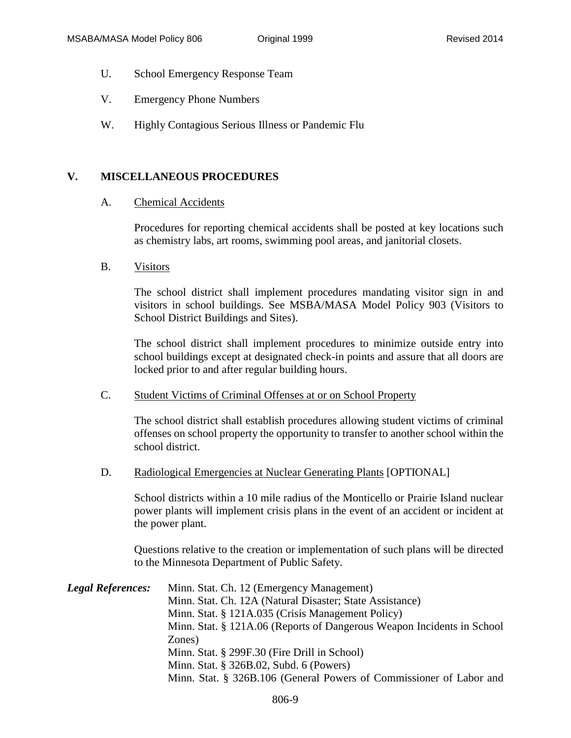- U. School Emergency Response Team
- V. Emergency Phone Numbers
- W. Highly Contagious Serious Illness or Pandemic Flu

## **V. MISCELLANEOUS PROCEDURES**

#### A. Chemical Accidents

Procedures for reporting chemical accidents shall be posted at key locations such as chemistry labs, art rooms, swimming pool areas, and janitorial closets.

B. Visitors

The school district shall implement procedures mandating visitor sign in and visitors in school buildings. See MSBA/MASA Model Policy 903 (Visitors to School District Buildings and Sites).

The school district shall implement procedures to minimize outside entry into school buildings except at designated check-in points and assure that all doors are locked prior to and after regular building hours.

#### C. Student Victims of Criminal Offenses at or on School Property

The school district shall establish procedures allowing student victims of criminal offenses on school property the opportunity to transfer to another school within the school district.

D. Radiological Emergencies at Nuclear Generating Plants [OPTIONAL]

School districts within a 10 mile radius of the Monticello or Prairie Island nuclear power plants will implement crisis plans in the event of an accident or incident at the power plant.

Questions relative to the creation or implementation of such plans will be directed to the Minnesota Department of Public Safety.

| <b>Legal References:</b> | Minn. Stat. Ch. 12 (Emergency Management)                              |
|--------------------------|------------------------------------------------------------------------|
|                          | Minn. Stat. Ch. 12A (Natural Disaster; State Assistance)               |
|                          | Minn. Stat. § 121A.035 (Crisis Management Policy)                      |
|                          | Minn. Stat. § 121A.06 (Reports of Dangerous Weapon Incidents in School |
|                          | Zones)                                                                 |
|                          | Minn. Stat. § 299F.30 (Fire Drill in School)                           |
|                          | Minn. Stat. § 326B.02, Subd. 6 (Powers)                                |
|                          | Minn. Stat. § 326B.106 (General Powers of Commissioner of Labor and    |